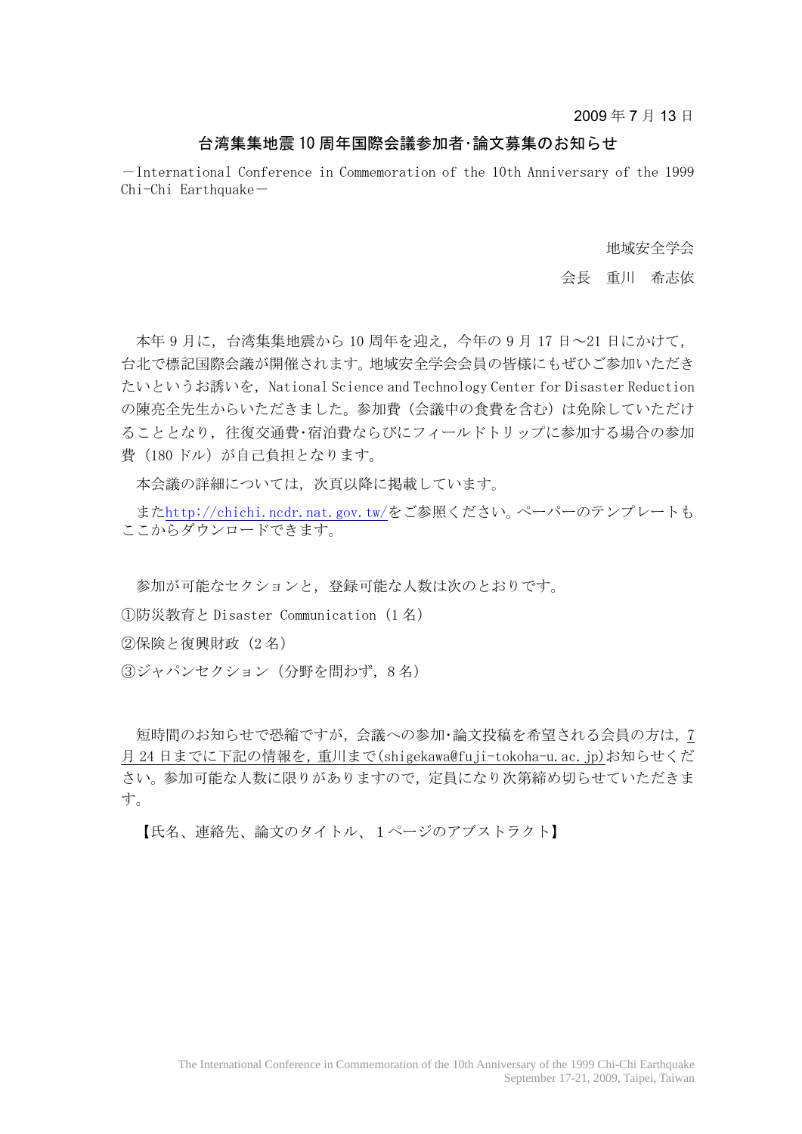2009 年 7 月 13 日

#### 台湾集集地震 10 周年国際会議参加者・論文募集のお知らせ

-International Conference in Commemoration of the 10th Anniversary of the 1999 Chi-Chi Earthquake $-$ 

地域安全学会

会長 重川 希志依

本年 9 月に,台湾集集地震から 10 周年を迎え,今年の 9 月 17 日~21 日にかけて, 台北で標記国際会議が開催されます。地域安全学会会員の皆様にもぜひご参加いただき たいというお誘いを, National Science and Technology Center for Disaster Reduction の陳亮全先生からいただきました。参加費(会議中の食費を含む)は免除していただけ ることとなり,往復交通費・宿泊費ならびにフィールドトリップに参加する場合の参加 費(180 ドル)が自己負担となります。

本会議の詳細については,次頁以降に掲載しています。

また[http://chichi.ncdr.nat.gov.tw/を](http://chichi.ncdr.nat.gov.tw/)ご参照ください。ペーパーのテンプレートも ここからダウンロードできます。

参加が可能なセクションと,登録可能な人数は次のとおりです。

①防災教育と Disaster Communication(1 名)

②保険と復興財政(2 名)

③ジャパンセクション(分野を問わず,8 名)

 短時間のお知らせで恐縮ですが,会議への参加・論文投稿を希望される会員の方は,7 月 24 日までに下記の情報を,重川まで(shigekawa@fuji-tokoha-u.ac.jp)お知らせくだ さい。参加可能な人数に限りがありますので,定員になり次第締め切らせていただきま す。

【氏名、連絡先、論文のタイトル、1ページのアブストラクト】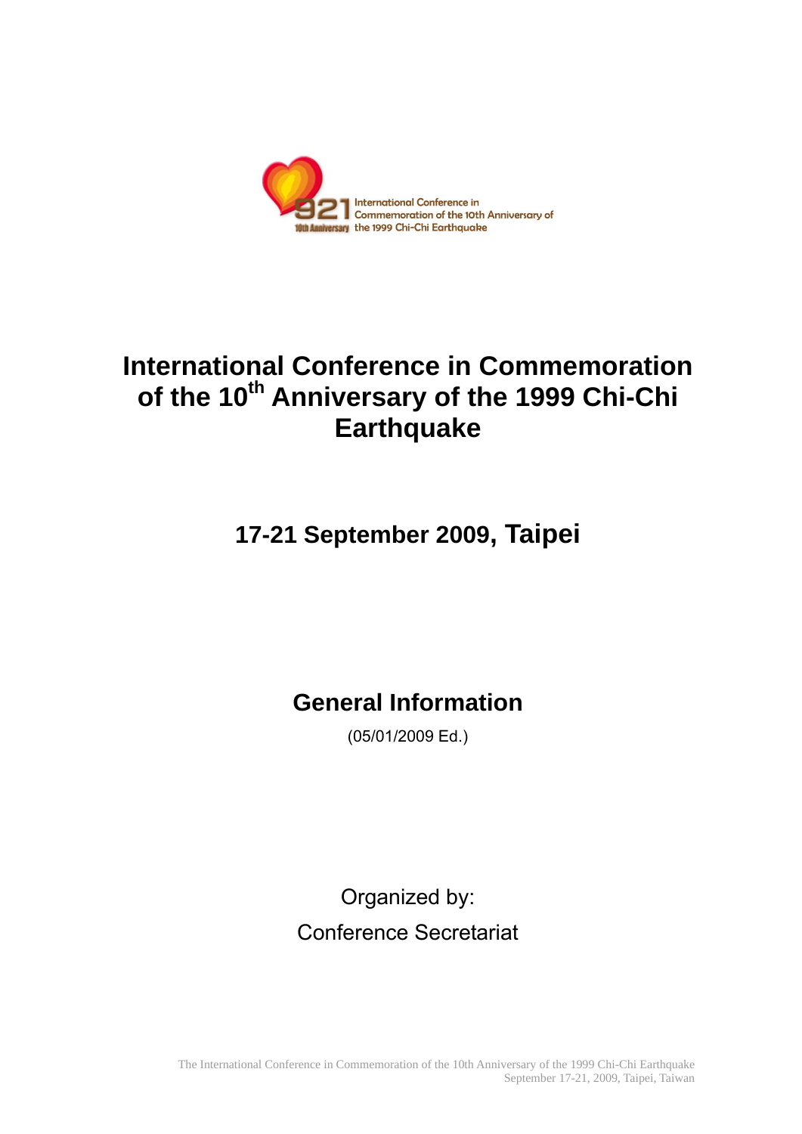

# **International Conference in Commemoration**  of the 10<sup>th</sup> Anniversary of the 1999 Chi-Chi **Earthquake**

# **17-21 September 2009, Taipei**

# **General Information**

(05/01/2009 Ed.)

Organized by: Conference Secretariat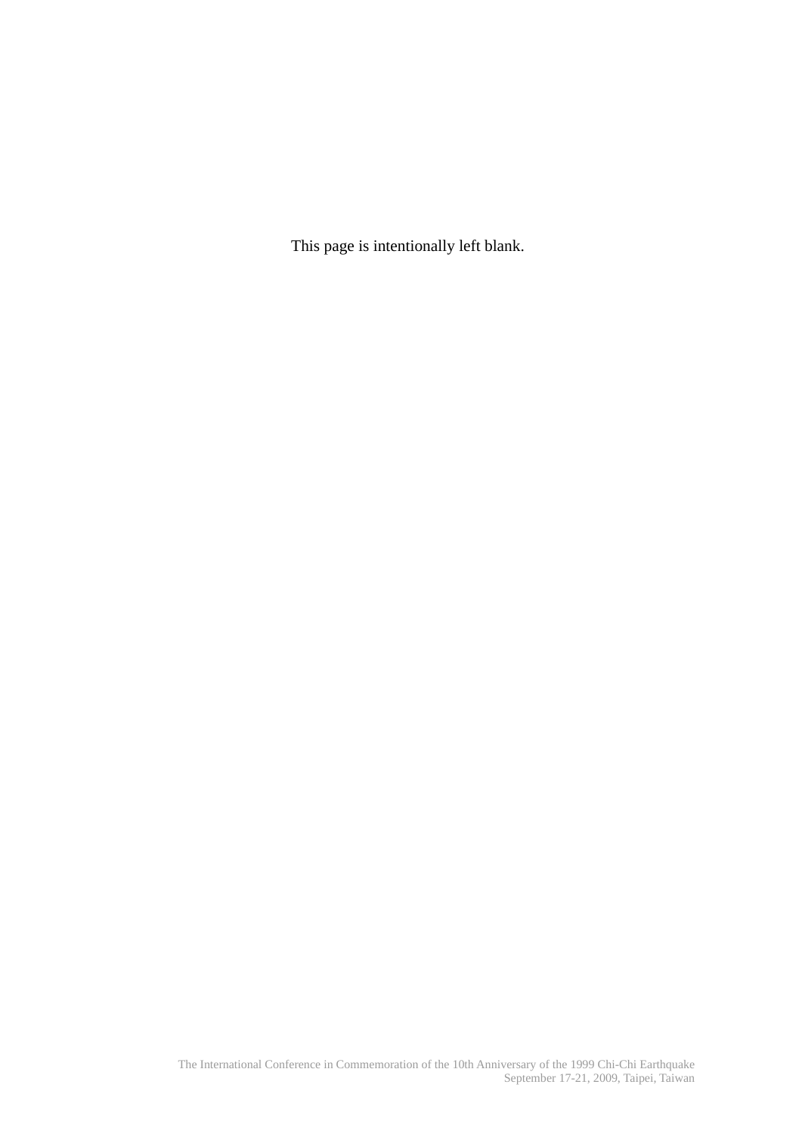This page is intentionally left blank.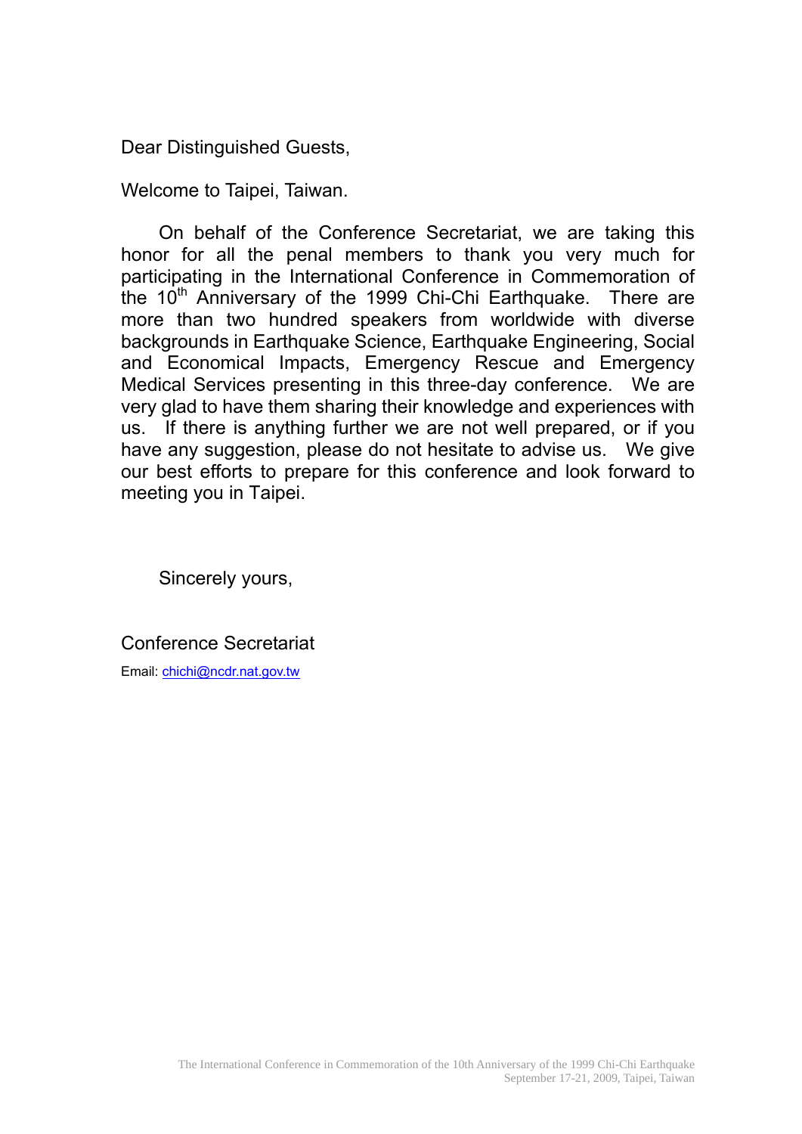Dear Distinguished Guests,

Welcome to Taipei, Taiwan.

On behalf of the Conference Secretariat, we are taking this honor for all the penal members to thank you very much for participating in the International Conference in Commemoration of the  $10<sup>th</sup>$  Anniversary of the 1999 Chi-Chi Earthquake. There are more than two hundred speakers from worldwide with diverse backgrounds in Earthquake Science, Earthquake Engineering, Social and Economical Impacts, Emergency Rescue and Emergency Medical Services presenting in this three-day conference. We are very glad to have them sharing their knowledge and experiences with us. If there is anything further we are not well prepared, or if you have any suggestion, please do not hesitate to advise us. We give our best efforts to prepare for this conference and look forward to meeting you in Taipei.

Sincerely yours,

Conference Secretariat

Email: [chichi@ncdr.nat.gov.tw](mailto:chichi@ncdr.nat.gov.tw)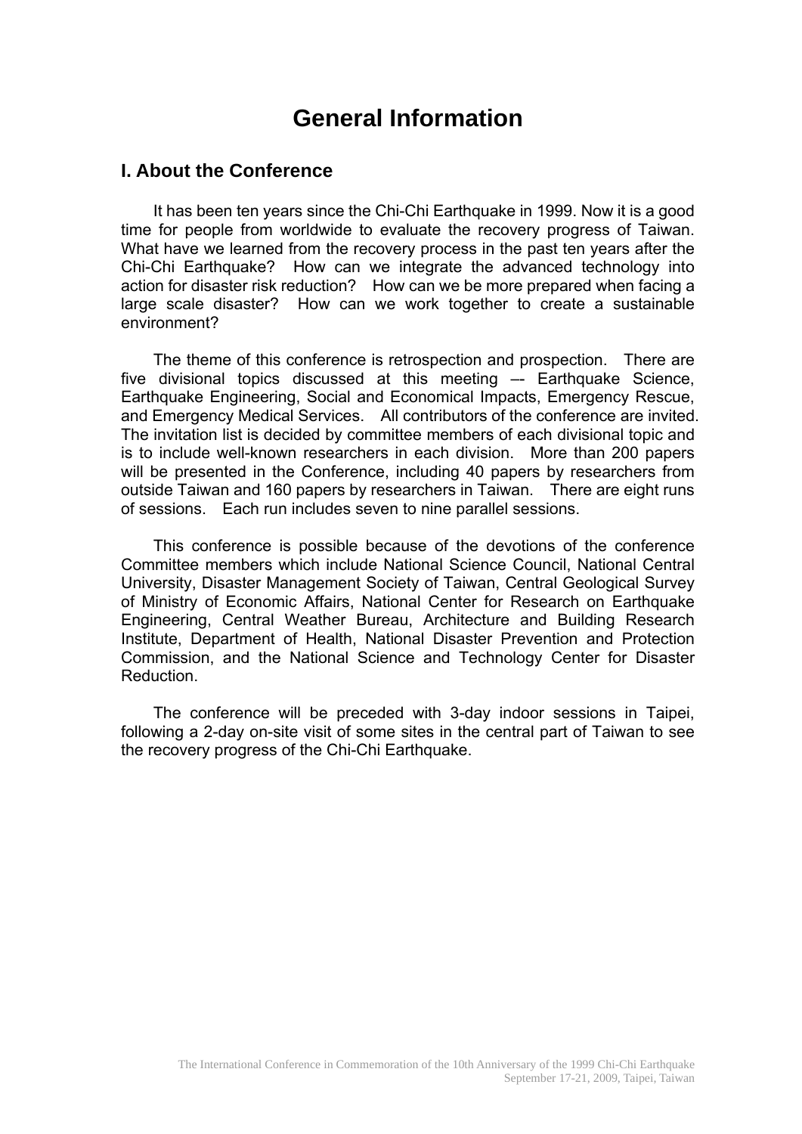# **General Information**

#### **I. About the Conference**

It has been ten years since the Chi-Chi Earthquake in 1999. Now it is a good time for people from worldwide to evaluate the recovery progress of Taiwan. What have we learned from the recovery process in the past ten years after the Chi-Chi Earthquake? How can we integrate the advanced technology into action for disaster risk reduction? How can we be more prepared when facing a large scale disaster? How can we work together to create a sustainable environment?

The theme of this conference is retrospection and prospection. There are five divisional topics discussed at this meeting –- Earthquake Science, Earthquake Engineering, Social and Economical Impacts, Emergency Rescue, and Emergency Medical Services. All contributors of the conference are invited. The invitation list is decided by committee members of each divisional topic and is to include well-known researchers in each division. More than 200 papers will be presented in the Conference, including 40 papers by researchers from outside Taiwan and 160 papers by researchers in Taiwan. There are eight runs of sessions. Each run includes seven to nine parallel sessions.

This conference is possible because of the devotions of the conference Committee members which include National Science Council, National Central University, Disaster Management Society of Taiwan, Central Geological Survey of Ministry of Economic Affairs, National Center for Research on Earthquake Engineering, Central Weather Bureau, Architecture and Building Research Institute, Department of Health, National Disaster Prevention and Protection Commission, and the National Science and Technology Center for Disaster Reduction.

The conference will be preceded with 3-day indoor sessions in Taipei, following a 2-day on-site visit of some sites in the central part of Taiwan to see the recovery progress of the Chi-Chi Earthquake.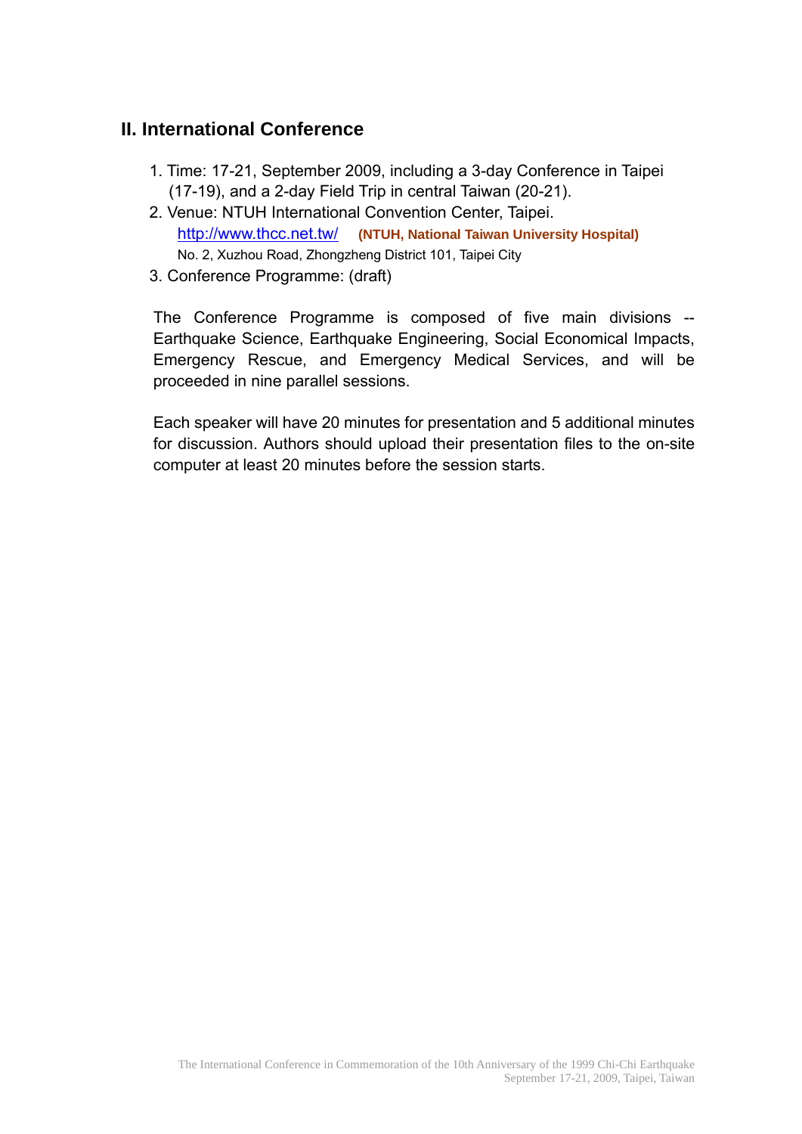## **II. International Conference**

- 1. Time: 17-21, September 2009, including a 3-day Conference in Taipei (17-19), and a 2-day Field Trip in central Taiwan (20-21).
- 2. Venue: NTUH International Convention Center, Taipei. <http://www.thcc.net.tw/> **(NTUH, National Taiwan University Hospital)**  No. 2, Xuzhou Road, Zhongzheng District 101, Taipei City
- 3. Conference Programme: (draft)

The Conference Programme is composed of five main divisions -- Earthquake Science, Earthquake Engineering, Social Economical Impacts, Emergency Rescue, and Emergency Medical Services, and will be proceeded in nine parallel sessions.

Each speaker will have 20 minutes for presentation and 5 additional minutes for discussion. Authors should upload their presentation files to the on-site computer at least 20 minutes before the session starts.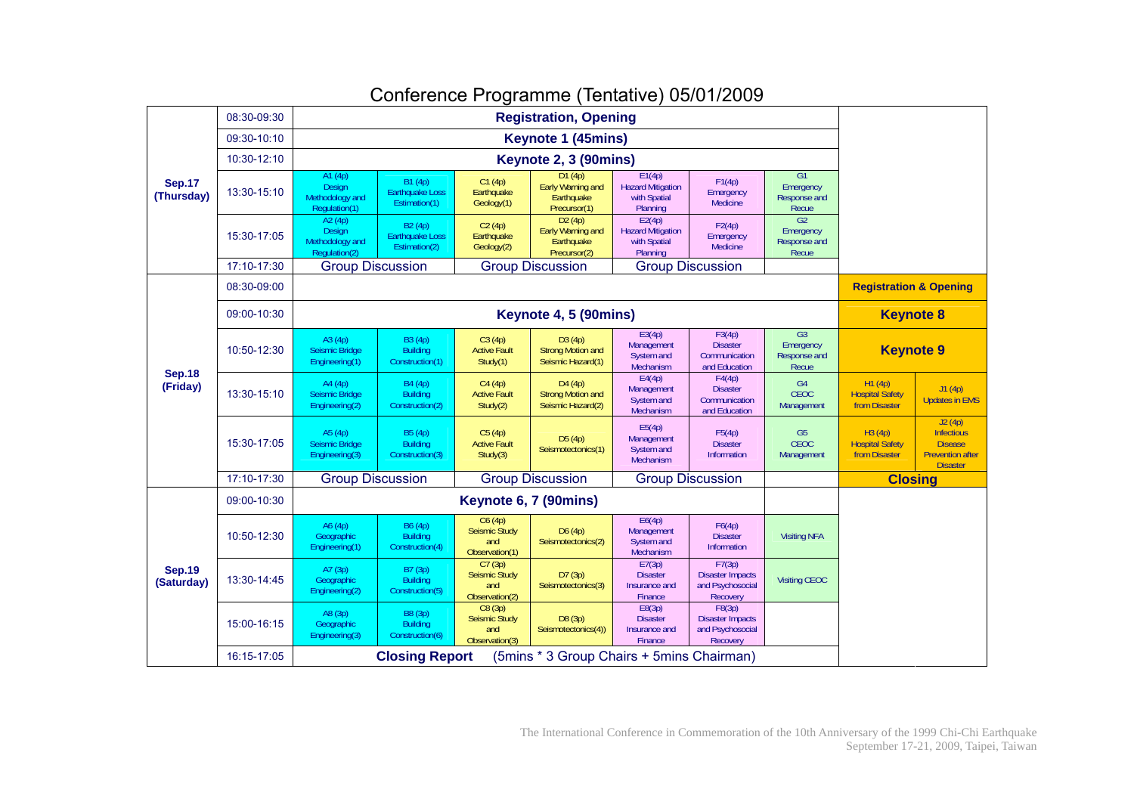|                             | 08:30-09:30 | <b>Registration, Opening</b>                                       |                                                                |                                                          |                                                            |                                                                |                                                                   |                                                      |                                                    |                                                                                             |
|-----------------------------|-------------|--------------------------------------------------------------------|----------------------------------------------------------------|----------------------------------------------------------|------------------------------------------------------------|----------------------------------------------------------------|-------------------------------------------------------------------|------------------------------------------------------|----------------------------------------------------|---------------------------------------------------------------------------------------------|
| <b>Sep.17</b><br>(Thursday) | 09:30-10:10 | Keynote 1 (45mins)                                                 |                                                                |                                                          |                                                            |                                                                |                                                                   |                                                      |                                                    |                                                                                             |
|                             | 10:30-12:10 | Keynote 2, 3 (90mins)                                              |                                                                |                                                          |                                                            |                                                                |                                                                   |                                                      |                                                    |                                                                                             |
|                             | 13:30-15:10 | A1 $(4p)$<br>Design<br>Methodology and<br>Regulation(1)            | B1 (4p)<br><b>Earthquake Loss</b><br>Estimation(1)             | C1(4p)<br>Earthquake<br>Geology(1)                       | D1 (4p)<br>Early Warning and<br>Earthquake<br>Precursor(1) | E1(4p)<br><b>Hazard Mitigation</b><br>with Spatial<br>Planning | F1(4p)<br>Emergency<br>Medicine                                   | G <sub>1</sub><br>Emergency<br>Response and<br>Recue |                                                    |                                                                                             |
|                             | 15:30-17:05 | A2 (4p)<br>Design<br>Methodology and<br>Regulation(2)              | B <sub>2</sub> (4p)<br><b>Earthquake Loss</b><br>Estimation(2) | C2(4p)<br>Earthquake<br>Geology(2)                       | D2(4p)<br>Early Warning and<br>Earthquake<br>Precursor(2)  | E2(4p)<br><b>Hazard Mitigation</b><br>with Spatial<br>Planning | F2(4p)<br>Emergency<br>Medicine                                   | G <sub>2</sub><br>Emergency<br>Response and<br>Recue |                                                    |                                                                                             |
|                             | 17:10-17:30 | <b>Group Discussion</b>                                            |                                                                |                                                          | <b>Group Discussion</b>                                    |                                                                | <b>Group Discussion</b>                                           |                                                      |                                                    |                                                                                             |
| <b>Sep.18</b><br>(Friday)   | 08:30-09:00 |                                                                    |                                                                |                                                          |                                                            |                                                                |                                                                   | <b>Registration &amp; Opening</b>                    |                                                    |                                                                                             |
|                             | 09:00-10:30 | Keynote 4, 5 (90mins)                                              |                                                                |                                                          |                                                            |                                                                |                                                                   | <b>Keynote 8</b>                                     |                                                    |                                                                                             |
|                             | 10:50-12:30 | A3 (4p)<br>Seismic Bridge<br>Engineering(1)                        | B3 (4p)<br><b>Building</b><br>Construction(1)                  | C3(4p)<br><b>Active Fault</b><br>Study(1)                | D3(4p)<br><b>Strong Motion and</b><br>Seismic Hazard(1)    | E3(4p)<br>Management<br>System and<br>Mechanism                | F3(4p)<br><b>Disaster</b><br>Communication<br>and Education       | G <sub>3</sub><br>Emergency<br>Response and<br>Recue | <b>Keynote 9</b>                                   |                                                                                             |
|                             | 13:30-15:10 | A4 (4p)<br>Seismic Bridge<br>Engineering(2)                        | B4 (4p)<br><b>Building</b><br>Construction(2)                  | C4(4p)<br><b>Active Fault</b><br>Study(2)                | D4(4p)<br><b>Strong Motion and</b><br>Seismic Hazard(2)    | E4(4p)<br>Management<br>System and<br>Mechanism                | F4(4p)<br><b>Disaster</b><br>Communication<br>and Education       | G <sub>4</sub><br>CEOC<br>Management                 | H1 (4p)<br><b>Hospital Safety</b><br>from Disaster | J1(4p)<br><b>Updates in EMS</b>                                                             |
|                             | 15:30-17:05 | A5 (4p)<br>Seismic Bridge<br>Engineering(3)                        | B <sub>5</sub> (4p)<br><b>Building</b><br>Construction(3)      | C5(4p)<br><b>Active Fault</b><br>Study(3)                | D5(4p)<br>Seismotectonics(1)                               | E5(4p)<br>Management<br>System and<br>Mechanism                | F5(4p)<br><b>Disaster</b><br>Information                          | G <sub>5</sub><br><b>CEOC</b><br>Management          | H3(4p)<br><b>Hospital Safety</b><br>from Disaster  | J2(4p)<br><b>Infectious</b><br><b>Disease</b><br><b>Prevention after</b><br><b>Disaster</b> |
|                             | 17:10-17:30 | <b>Group Discussion</b>                                            |                                                                | <b>Group Discussion</b><br><b>Group Discussion</b>       |                                                            |                                                                |                                                                   |                                                      | <b>Closing</b>                                     |                                                                                             |
|                             | 09:00-10:30 | Keynote 6, 7 (90mins)                                              |                                                                |                                                          |                                                            |                                                                |                                                                   |                                                      |                                                    |                                                                                             |
| <b>Sep.19</b><br>(Saturday) | 10:50-12:30 | A6 $(4p)$<br>Geographic<br>Engineering(1)                          | B6 (4p)<br><b>Building</b><br>Construction(4)                  | C6 (4p)<br><b>Seismic Study</b><br>and<br>Observation(1) | D6(4p)<br>Seismotectonics(2)                               | E6(4p)<br>Management<br>System and<br>Mechanism                | F6(4p)<br><b>Disaster</b><br>Information                          | <b>Visiting NFA</b>                                  |                                                    |                                                                                             |
|                             | 13:30-14:45 | A7 (3p)<br>Geographic<br>Engineering(2)                            | B7 (3p)<br><b>Building</b><br>Construction(5)                  | C7(3p)<br>Seismic Study<br>and<br>Observation(2)         | D7(3p)<br>Seismotectonics(3)                               | E7(3p)<br><b>Disaster</b><br>Insurance and<br>Finance          | F7(3p)<br><b>Disaster Impacts</b><br>and Psychosocial<br>Recovery | <b>Visiting CEOC</b>                                 |                                                    |                                                                                             |
|                             | 15:00-16:15 | A8 (3p)<br>Geographic<br>Engineering(3)                            | B8 (3p)<br><b>Building</b><br>Construction(6)                  | C8(3p)<br><b>Seismic Study</b><br>and<br>Observation(3)  | D8(3p)<br>Seismotectonics(4))                              | E8(3p)<br><b>Disaster</b><br>Insurance and<br>Finance          | F8(3p)<br><b>Disaster Impacts</b><br>and Psychosocial<br>Recovery |                                                      |                                                    |                                                                                             |
|                             | 16:15-17:05 | (5mins * 3 Group Chairs + 5mins Chairman)<br><b>Closing Report</b> |                                                                |                                                          |                                                            |                                                                |                                                                   |                                                      |                                                    |                                                                                             |

## Conference Programme (Tentative) 05/01/2009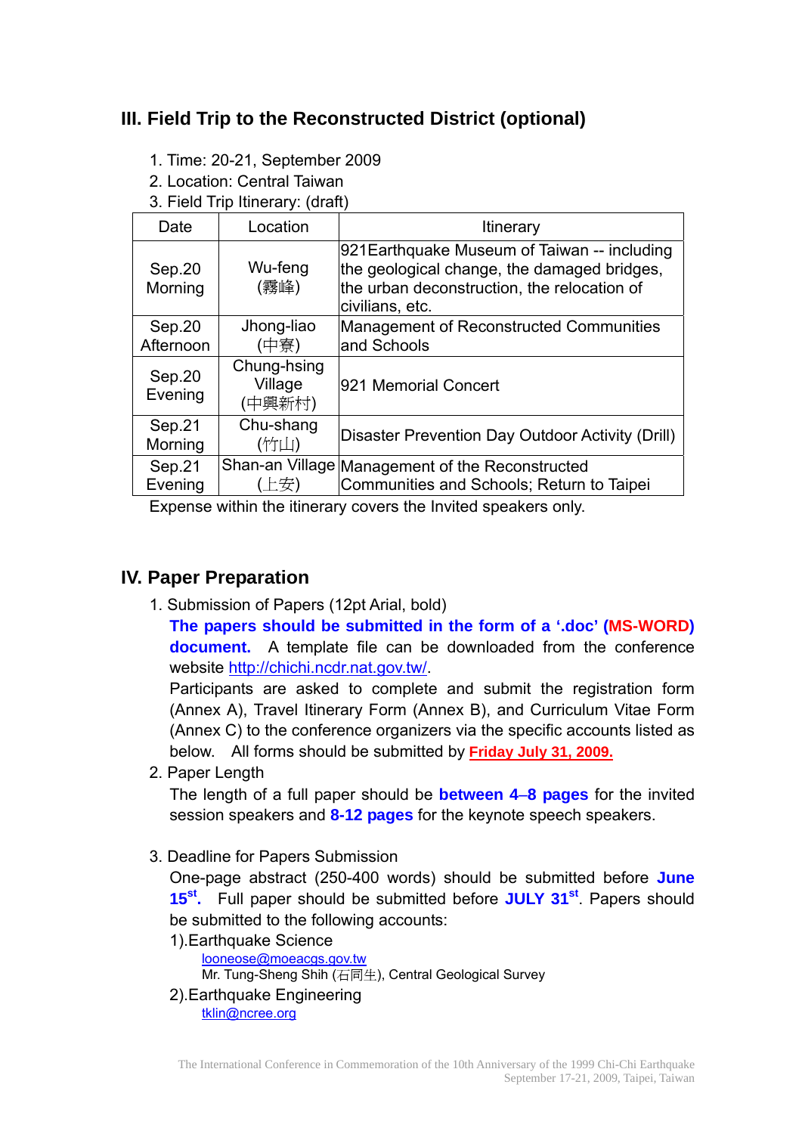## **III. Field Trip to the Reconstructed District (optional)**

- 1. Time: 20-21, September 2009
- 2. Location: Central Taiwan
- 3. Field Trip Itinerary: (draft)

| Date                | Location                         | Itinerary                                                                                                                                                     |  |
|---------------------|----------------------------------|---------------------------------------------------------------------------------------------------------------------------------------------------------------|--|
| Sep.20<br>Morning   | Wu-feng<br>(霧峰)                  | 921 Earthquake Museum of Taiwan -- including<br>the geological change, the damaged bridges,<br>the urban deconstruction, the relocation of<br>civilians, etc. |  |
| Sep.20<br>Afternoon | Jhong-liao<br>(中寮)               | <b>Management of Reconstructed Communities</b><br>and Schools                                                                                                 |  |
| Sep.20<br>Evening   | Chung-hsing<br>Village<br>(中興新村) | 921 Memorial Concert                                                                                                                                          |  |
| Sep.21<br>Morning   | Chu-shang<br>(竹山)                | Disaster Prevention Day Outdoor Activity (Drill)                                                                                                              |  |
| Sep.21<br>Evening   |                                  | Shan-an Village Management of the Reconstructed<br>Communities and Schools; Return to Taipei                                                                  |  |

Expense within the itinerary covers the Invited speakers only.

## **IV. Paper Preparation**

1. Submission of Papers (12pt Arial, bold)

**The papers should be submitted in the form of a '.doc' (MS-WORD) document.** A template file can be downloaded from the conference website <http://chichi.ncdr.nat.gov.tw/>.

Participants are asked to complete and submit the registration form (Annex A), Travel Itinerary Form (Annex B), and Curriculum Vitae Form (Annex C) to the conference organizers via the specific accounts listed as below. All forms should be submitted by **Friday July 31, 2009.**

2. Paper Length

The length of a full paper should be **between 4**−**8 pages** for the invited session speakers and **8-12 pages** for the keynote speech speakers.

3. Deadline for Papers Submission

One-page abstract (250-400 words) should be submitted before **June 15st.** Full paper should be submitted before **JULY 31st**. Papers should be submitted to the following accounts:

1).Earthquake Science

[looneose@moeacgs.gov.tw](mailto:looneose@moeacgs.gov.tw) Mr. Tung-Sheng Shih (石同生), Central Geological Survey

2).Earthquake Engineering [tklin@ncree.org](mailto:tklin@ncree.org)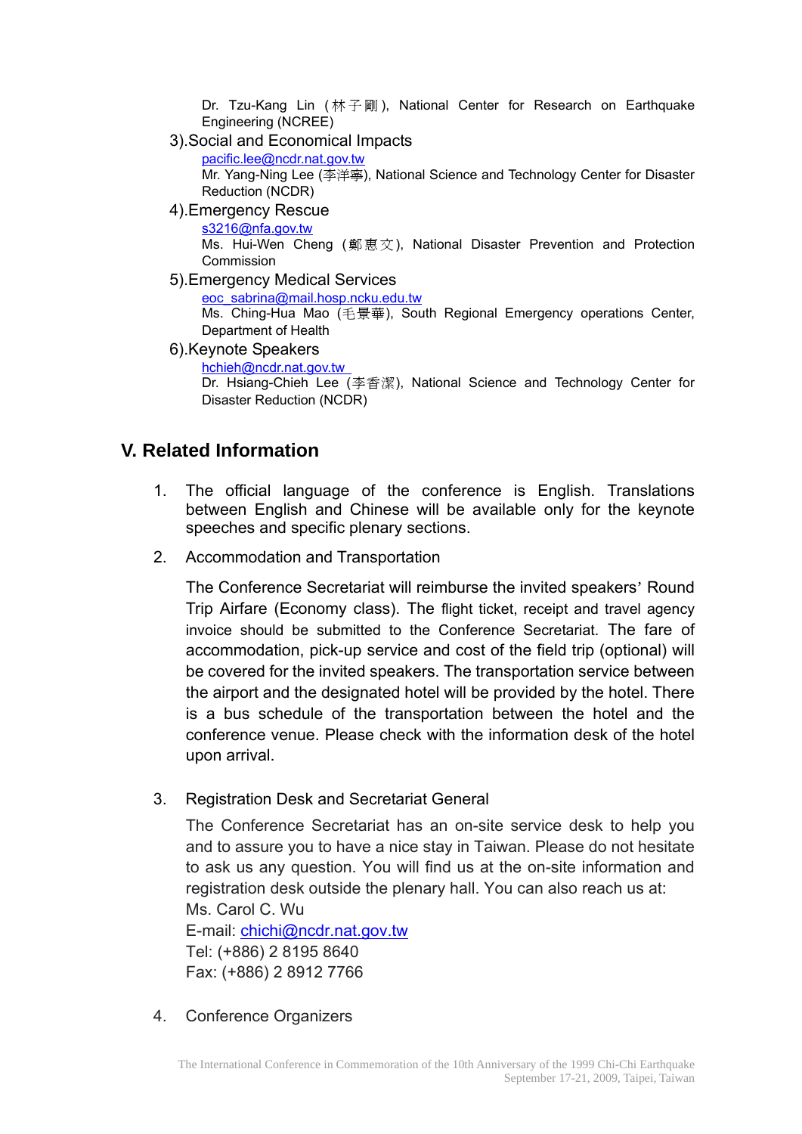Dr. Tzu-Kang Lin ( 林子剛 ), National Center for Research on Earthquake Engineering (NCREE)

#### 3).Social and Economical Impacts

pacific.lee@ncdr.nat.gov.tw

Mr. Yang-Ning Lee (李洋寧), National Science and Technology Center for Disaster Reduction (NCDR)

#### 4).Emergency Rescue

[s3216@nfa.gov.tw](mailto:s3216@nfa.gov.tw)

Ms. Hui-Wen Cheng (鄭惠文), National Disaster Prevention and Protection Commission

#### 5).Emergency Medical Services

[eoc\\_sabrina@mail.hosp.ncku.edu.tw](mailto:eoc_sabrina@mail.hosp.ncku.edu.tw)

Ms. Ching-Hua Mao (毛景華), South Regional Emergency operations Center, Department of Health

#### 6).Keynote Speakers

hchieh@ncdr.nat.gov.tw

Dr. Hsiang-Chieh Lee (李香潔), National Science and Technology Center for Disaster Reduction (NCDR)

### **V. Related Information**

- 1. The official language of the conference is English. Translations between English and Chinese will be available only for the keynote speeches and specific plenary sections.
- 2. Accommodation and Transportation

The Conference Secretariat will reimburse the invited speakers' Round Trip Airfare (Economy class). The flight ticket, receipt and travel agency invoice should be submitted to the Conference Secretariat. The fare of accommodation, pick-up service and cost of the field trip (optional) will be covered for the invited speakers. The transportation service between the airport and the designated hotel will be provided by the hotel. There is a bus schedule of the transportation between the hotel and the conference venue. Please check with the information desk of the hotel upon arrival.

3. Registration Desk and Secretariat General

The Conference Secretariat has an on-site service desk to help you and to assure you to have a nice stay in Taiwan. Please do not hesitate to ask us any question. You will find us at the on-site information and registration desk outside the plenary hall. You can also reach us at: Ms. Carol C. Wu E-mail: [chichi@ncdr.nat.gov.tw](mailto:chichi@ncdr.nat.gov.tw)  Tel: (+886) 2 8195 8640 Fax: (+886) 2 8912 7766

#### 4. Conference Organizers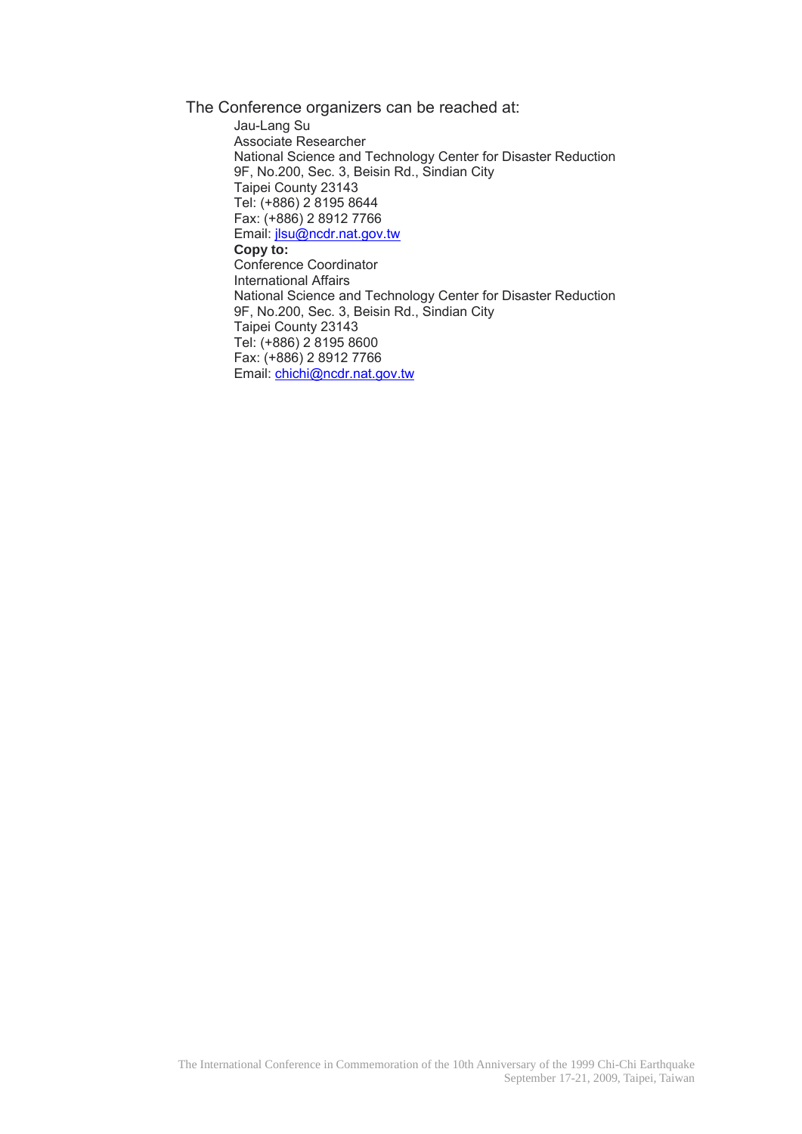#### The Conference organizers can be reached at:

Jau-Lang Su Associate Researcher National Science and Technology Center for Disaster Reduction 9F, No.200, Sec. 3, Beisin Rd., Sindian City Taipei County 23143 Tel: (+886) 2 8195 8644 Fax: (+886) 2 8912 7766 Email: [jlsu@ncdr.nat.gov.tw](mailto:jlsu@ncdr.nat.gov.tw) **Copy to:**  Conference Coordinator International Affairs National Science and Technology Center for Disaster Reduction 9F, No.200, Sec. 3, Beisin Rd., Sindian City Taipei County 23143 Tel: (+886) 2 8195 8600 Fax: (+886) 2 8912 7766 Email: chichi@ncdr.nat.gov.tw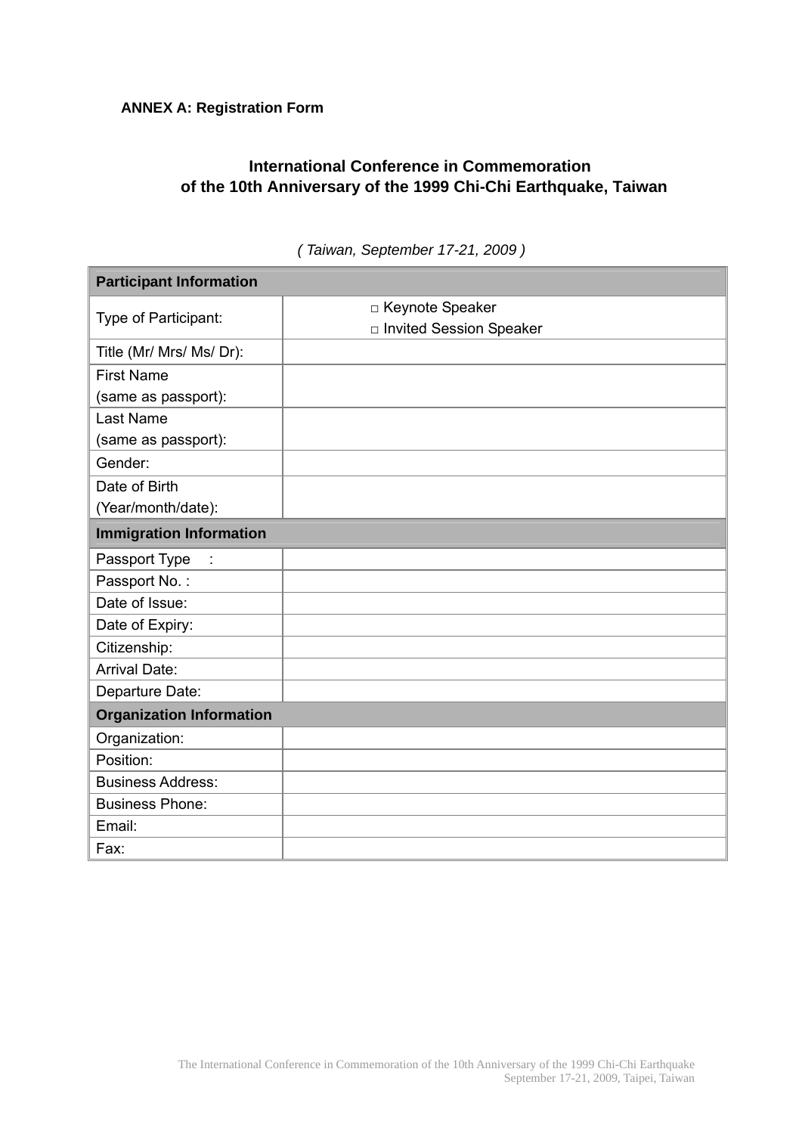### **ANNEX A: Registration Form**

### **International Conference in Commemoration of the 10th Anniversary of the 1999 Chi-Chi Earthquake, Taiwan**

| <b>Participant Information</b>  |                           |  |  |  |  |
|---------------------------------|---------------------------|--|--|--|--|
|                                 | □ Keynote Speaker         |  |  |  |  |
| Type of Participant:            | □ Invited Session Speaker |  |  |  |  |
| Title (Mr/ Mrs/ Ms/ Dr):        |                           |  |  |  |  |
| <b>First Name</b>               |                           |  |  |  |  |
| (same as passport):             |                           |  |  |  |  |
| <b>Last Name</b>                |                           |  |  |  |  |
| (same as passport):             |                           |  |  |  |  |
| Gender:                         |                           |  |  |  |  |
| Date of Birth                   |                           |  |  |  |  |
| (Year/month/date):              |                           |  |  |  |  |
| <b>Immigration Information</b>  |                           |  |  |  |  |
| Passport Type                   |                           |  |  |  |  |
| Passport No.:                   |                           |  |  |  |  |
| Date of Issue:                  |                           |  |  |  |  |
| Date of Expiry:                 |                           |  |  |  |  |
| Citizenship:                    |                           |  |  |  |  |
| <b>Arrival Date:</b>            |                           |  |  |  |  |
| Departure Date:                 |                           |  |  |  |  |
| <b>Organization Information</b> |                           |  |  |  |  |
| Organization:                   |                           |  |  |  |  |
| Position:                       |                           |  |  |  |  |
| <b>Business Address:</b>        |                           |  |  |  |  |
| <b>Business Phone:</b>          |                           |  |  |  |  |
| Email:                          |                           |  |  |  |  |
| Fax:                            |                           |  |  |  |  |

 *( Taiwan, September 17-21, 2009 )*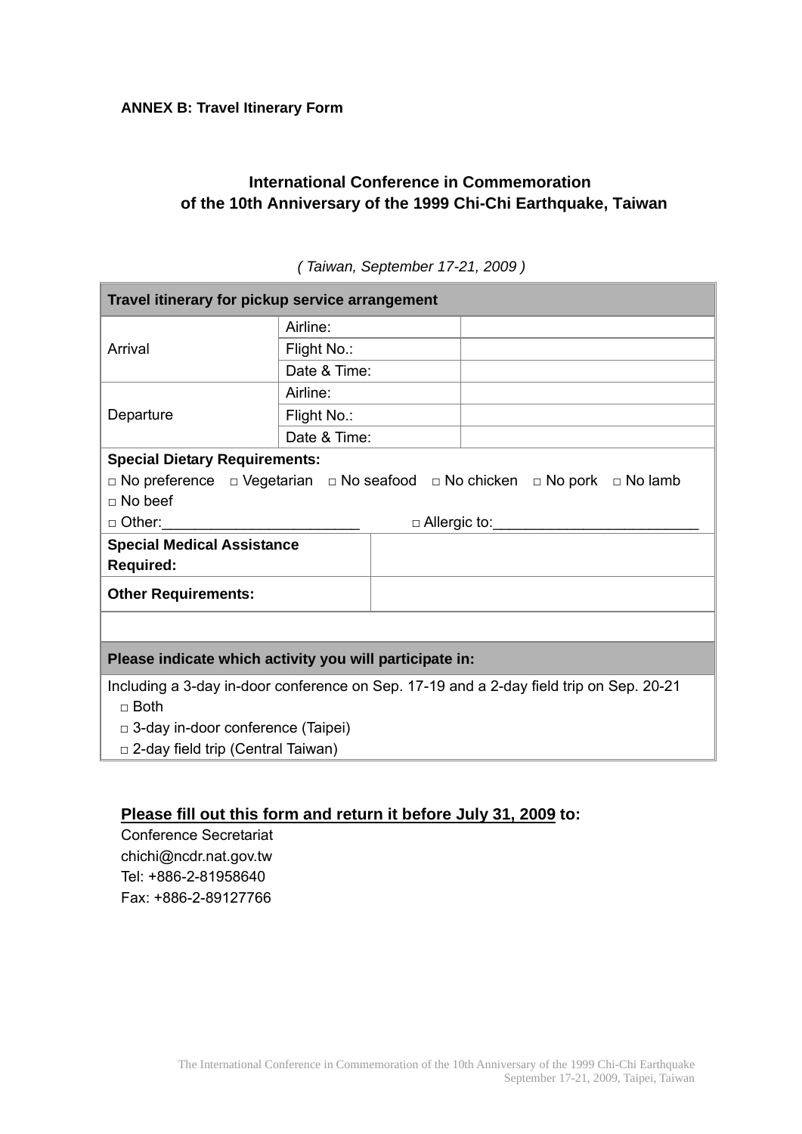#### **ANNEX B: Travel Itinerary Form**

#### **International Conference in Commemoration of the 10th Anniversary of the 1999 Chi-Chi Earthquake, Taiwan**

| Travel itinerary for pickup service arrangement                                                        |              |  |                                                                            |  |  |  |
|--------------------------------------------------------------------------------------------------------|--------------|--|----------------------------------------------------------------------------|--|--|--|
|                                                                                                        | Airline:     |  |                                                                            |  |  |  |
| Arrival                                                                                                | Flight No.:  |  |                                                                            |  |  |  |
|                                                                                                        | Date & Time: |  |                                                                            |  |  |  |
|                                                                                                        | Airline:     |  |                                                                            |  |  |  |
| Departure                                                                                              | Flight No.:  |  |                                                                            |  |  |  |
|                                                                                                        | Date & Time: |  |                                                                            |  |  |  |
| <b>Special Dietary Requirements:</b>                                                                   |              |  |                                                                            |  |  |  |
|                                                                                                        |              |  | □ No preference □ Vegetarian □ No seafood □ No chicken □ No pork □ No lamb |  |  |  |
| $\Box$ No beef                                                                                         |              |  |                                                                            |  |  |  |
|                                                                                                        |              |  | □ Allergic to: ______________                                              |  |  |  |
| <b>Special Medical Assistance</b>                                                                      |              |  |                                                                            |  |  |  |
| <b>Required:</b>                                                                                       |              |  |                                                                            |  |  |  |
| <b>Other Requirements:</b>                                                                             |              |  |                                                                            |  |  |  |
|                                                                                                        |              |  |                                                                            |  |  |  |
| Please indicate which activity you will participate in:                                                |              |  |                                                                            |  |  |  |
| Including a 3-day in-door conference on Sep. 17-19 and a 2-day field trip on Sep. 20-21<br>$\Box$ Both |              |  |                                                                            |  |  |  |
| $\Box$ 3-day in-door conference (Taipei)                                                               |              |  |                                                                            |  |  |  |
| $\Box$ 2-day field trip (Central Taiwan)                                                               |              |  |                                                                            |  |  |  |

 *( Taiwan, September 17-21, 2009 )*

#### **Please fill out this form and return it before July 31, 2009 to:**

Conference Secretariat chichi@ncdr.nat.gov.tw Tel: +886-2-81958640 Fax: +886-2-89127766